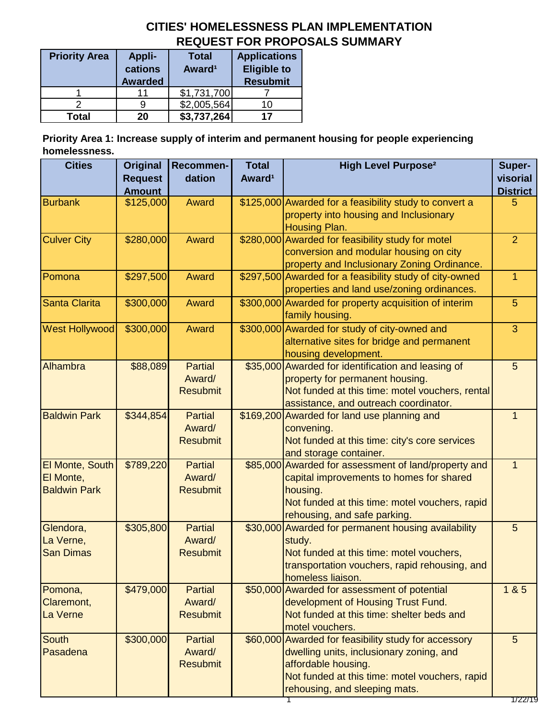# **CITIES' HOMELESSNESS PLAN IMPLEMENTATION REQUEST FOR PROPOSALS SUMMARY**

| <b>Priority Area</b> | <b>Appli-</b><br>cations<br><b>Awarded</b> | <b>Total</b><br>Award <sup>1</sup> | <b>Applications</b><br><b>Eligible to</b><br><b>Resubmit</b> |
|----------------------|--------------------------------------------|------------------------------------|--------------------------------------------------------------|
|                      | 11                                         | \$1,731,700                        |                                                              |
|                      |                                            | \$2,005,564                        | 10                                                           |
| <b>Total</b>         | 20                                         | \$3,737,264                        | 17                                                           |

**Priority Area 1: Increase supply of interim and permanent housing for people experiencing homelessness.**

| <b>Cities</b>          | Original<br><b>Request</b> | Recommen-<br>dation      | <b>Total</b><br>Award <sup>1</sup> | <b>High Level Purpose<sup>2</sup></b>                                                       | Super-<br>visorial |
|------------------------|----------------------------|--------------------------|------------------------------------|---------------------------------------------------------------------------------------------|--------------------|
|                        | <b>Amount</b>              |                          |                                    |                                                                                             | <b>District</b>    |
| <b>Burbank</b>         | \$125,000                  | Award                    |                                    | \$125,000 Awarded for a feasibility study to convert a                                      | 5                  |
|                        |                            |                          |                                    | property into housing and Inclusionary                                                      |                    |
|                        |                            |                          |                                    | Housing Plan.                                                                               | $\overline{2}$     |
| <b>Culver City</b>     | \$280,000                  | Award                    |                                    | \$280,000 Awarded for feasibility study for motel<br>conversion and modular housing on city |                    |
|                        |                            |                          |                                    | property and Inclusionary Zoning Ordinance.                                                 |                    |
| Pomona                 | \$297,500                  | Award                    |                                    | \$297,500 Awarded for a feasibility study of city-owned                                     | $\mathbf{1}$       |
|                        |                            |                          |                                    | properties and land use/zoning ordinances.                                                  |                    |
| Santa Clarita          | \$300,000                  | Award                    |                                    | \$300,000 Awarded for property acquisition of interim                                       | 5                  |
|                        |                            |                          |                                    | family housing.                                                                             |                    |
| <b>West Hollywood</b>  | \$300,000                  | Award                    |                                    | \$300,000 Awarded for study of city-owned and                                               | 3                  |
|                        |                            |                          |                                    | alternative sites for bridge and permanent                                                  |                    |
|                        |                            |                          |                                    | housing development.                                                                        |                    |
| Alhambra               | \$88,089                   | <b>Partial</b>           | \$35,000                           | Awarded for identification and leasing of                                                   | 5                  |
|                        |                            | Award/                   |                                    | property for permanent housing.                                                             |                    |
|                        |                            | <b>Resubmit</b>          |                                    | Not funded at this time: motel vouchers, rental<br>assistance, and outreach coordinator.    |                    |
| <b>Baldwin Park</b>    | \$344,854                  | <b>Partial</b>           | \$169,200                          | Awarded for land use planning and                                                           | 1                  |
|                        |                            | Award/                   |                                    | convening.                                                                                  |                    |
|                        |                            | <b>Resubmit</b>          |                                    | Not funded at this time: city's core services                                               |                    |
|                        |                            |                          |                                    | and storage container.                                                                      |                    |
| El Monte, South        | \$789,220                  | <b>Partial</b>           | \$85,000                           | Awarded for assessment of land/property and                                                 | $\mathbf{1}$       |
| El Monte,              |                            | Award/                   |                                    | capital improvements to homes for shared                                                    |                    |
| <b>Baldwin Park</b>    |                            | <b>Resubmit</b>          |                                    | housing.                                                                                    |                    |
|                        |                            |                          |                                    | Not funded at this time: motel vouchers, rapid                                              |                    |
|                        |                            |                          |                                    | rehousing, and safe parking.                                                                |                    |
| Glendora,<br>La Verne, | \$305,800                  | <b>Partial</b><br>Award/ |                                    | \$30,000 Awarded for permanent housing availability                                         | 5                  |
| <b>San Dimas</b>       |                            | <b>Resubmit</b>          |                                    | study.<br>Not funded at this time: motel vouchers,                                          |                    |
|                        |                            |                          |                                    | transportation vouchers, rapid rehousing, and                                               |                    |
|                        |                            |                          |                                    | homeless liaison.                                                                           |                    |
| Pomona,                | \$479,000                  | <b>Partial</b>           |                                    | \$50,000 Awarded for assessment of potential                                                | 1&85               |
| Claremont,             |                            | Award/                   |                                    | development of Housing Trust Fund.                                                          |                    |
| La Verne               |                            | <b>Resubmit</b>          |                                    | Not funded at this time: shelter beds and                                                   |                    |
|                        |                            |                          |                                    | motel vouchers.                                                                             |                    |
| <b>South</b>           | \$300,000                  | <b>Partial</b>           |                                    | \$60,000 Awarded for feasibility study for accessory                                        | 5                  |
| Pasadena               |                            | Award/                   |                                    | dwelling units, inclusionary zoning, and                                                    |                    |
|                        |                            | <b>Resubmit</b>          |                                    | affordable housing.                                                                         |                    |
|                        |                            |                          |                                    | Not funded at this time: motel vouchers, rapid<br>rehousing, and sleeping mats.             |                    |
|                        |                            |                          |                                    |                                                                                             | 1/22/19            |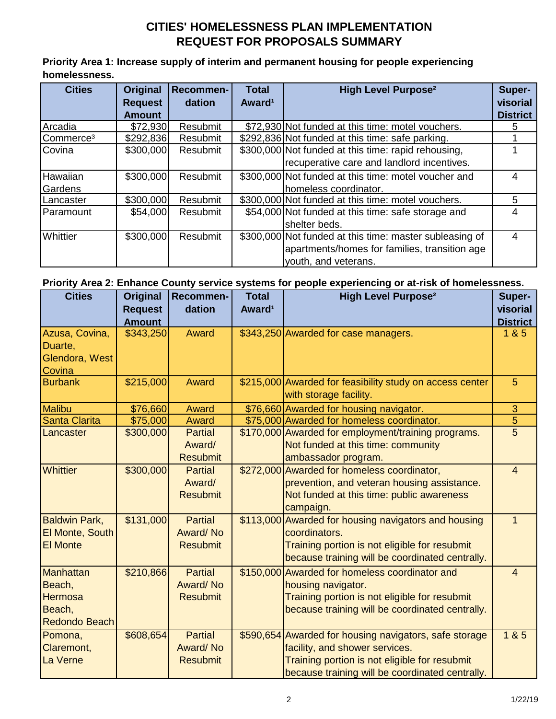## **CITIES' HOMELESSNESS PLAN IMPLEMENTATION REQUEST FOR PROPOSALS SUMMARY**

**Priority Area 1: Increase supply of interim and permanent housing for people experiencing homelessness.**

| <b>Cities</b>         | Original       | <b>Recommen-</b> | <b>Total</b>       | <b>High Level Purpose<sup>2</sup></b>                   | Super-          |
|-----------------------|----------------|------------------|--------------------|---------------------------------------------------------|-----------------|
|                       | <b>Request</b> | dation           | Award <sup>1</sup> |                                                         | visorial        |
|                       | <b>Amount</b>  |                  |                    |                                                         | <b>District</b> |
| Arcadia               | \$72,930       | Resubmit         |                    | \$72,930 Not funded at this time: motel vouchers.       | 5               |
| Commerce <sup>3</sup> | \$292,836      | Resubmit         |                    | \$292,836 Not funded at this time: safe parking.        |                 |
| Covina                | \$300,000      | Resubmit         |                    | \$300,000 Not funded at this time: rapid rehousing,     |                 |
|                       |                |                  |                    | recuperative care and landlord incentives.              |                 |
| Hawaiian              | \$300,000      | Resubmit         |                    | \$300,000 Not funded at this time: motel voucher and    | 4               |
| Gardens               |                |                  |                    | homeless coordinator.                                   |                 |
| Lancaster             | \$300,000      | Resubmit         |                    | \$300,000 Not funded at this time: motel vouchers.      | 5               |
| Paramount             | \$54,000       | Resubmit         |                    | \$54,000 Not funded at this time: safe storage and      | 4               |
|                       |                |                  |                    | shelter beds.                                           |                 |
| Whittier              | \$300,000      | Resubmit         |                    | \$300,000 Not funded at this time: master subleasing of | 4               |
|                       |                |                  |                    | apartments/homes for families, transition age           |                 |
|                       |                |                  |                    | vouth, and veterans.                                    |                 |

### **Priority Area 2: Enhance County service systems for people experiencing or at-risk of homelessness.**

| <b>Cities</b>                                                     | Original                   | Recommen-                                     | <b>Total</b>       | <b>High Level Purpose<sup>2</sup></b>                                                                                                                                                        | Super-                   |
|-------------------------------------------------------------------|----------------------------|-----------------------------------------------|--------------------|----------------------------------------------------------------------------------------------------------------------------------------------------------------------------------------------|--------------------------|
|                                                                   | <b>Request</b>             | dation                                        | Award <sup>1</sup> |                                                                                                                                                                                              | visorial                 |
| Azusa, Covina,<br>Duarte,<br>Glendora, West<br>Covina             | <b>Amount</b><br>\$343,250 | Award                                         |                    | \$343,250 Awarded for case managers.                                                                                                                                                         | <b>District</b><br>1 & 5 |
| <b>Burbank</b>                                                    | \$215,000                  | Award                                         |                    | \$215,000 Awarded for feasibility study on access center<br>with storage facility.                                                                                                           | $5\phantom{.}$           |
| Malibu                                                            | \$76,660                   | Award                                         |                    | \$76,660 Awarded for housing navigator.                                                                                                                                                      | 3                        |
| <b>Santa Clarita</b>                                              | \$75,000                   | Award                                         |                    | \$75,000 Awarded for homeless coordinator.                                                                                                                                                   | $\overline{5}$           |
| Lancaster                                                         | \$300,000                  | <b>Partial</b><br>Award/<br><b>Resubmit</b>   |                    | \$170,000 Awarded for employment/training programs.<br>Not funded at this time: community<br>ambassador program.                                                                             | $\overline{5}$           |
| <b>Whittier</b>                                                   | \$300,000                  | <b>Partial</b><br>Award/<br><b>Resubmit</b>   |                    | \$272,000 Awarded for homeless coordinator,<br>prevention, and veteran housing assistance.<br>Not funded at this time: public awareness<br>campaign.                                         | $\overline{4}$           |
| <b>Baldwin Park,</b><br><b>El Monte, South</b><br><b>El Monte</b> | \$131,000                  | <b>Partial</b><br>Award/No<br><b>Resubmit</b> |                    | \$113,000 Awarded for housing navigators and housing<br>coordinators.<br>Training portion is not eligible for resubmit<br>because training will be coordinated centrally.                    | $\mathbf{1}$             |
| Manhattan<br>Beach,<br><b>Hermosa</b><br>Beach,<br>Redondo Beach  | \$210,866                  | <b>Partial</b><br>Award/No<br><b>Resubmit</b> |                    | \$150,000 Awarded for homeless coordinator and<br>housing navigator.<br>Training portion is not eligible for resubmit<br>because training will be coordinated centrally.                     | $\overline{4}$           |
| Pomona,<br>Claremont,<br>La Verne                                 | \$608,654                  | <b>Partial</b><br>Award/No<br><b>Resubmit</b> |                    | \$590,654 Awarded for housing navigators, safe storage<br>facility, and shower services.<br>Training portion is not eligible for resubmit<br>because training will be coordinated centrally. | 1&85                     |